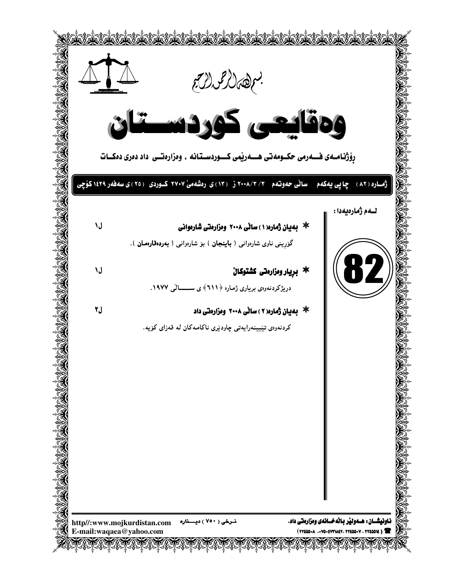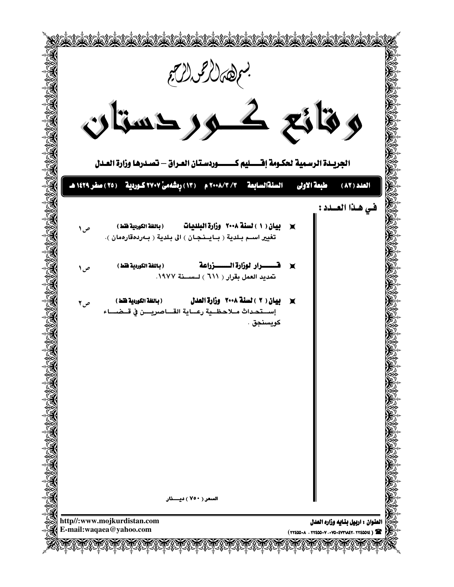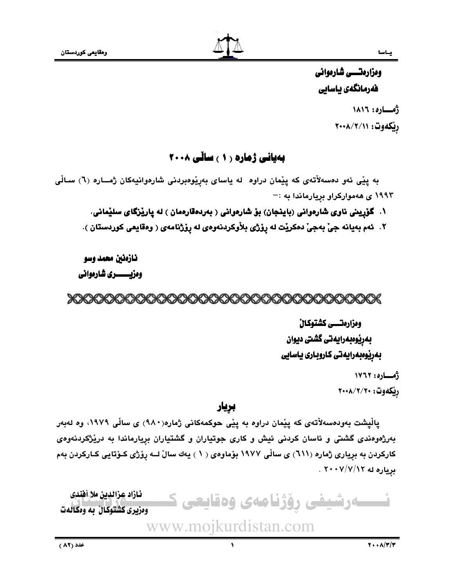ومزارمتسس شارموانى فەرمانگەي ياسايى أمساره: ١٨١٦ ريكەوت: ٢٠٠٨/٢/١١

## بەيانى ژمارە ( ۱ ) ساڵى ۲۰۰۸

به پێی ئەو دەسەلاّتەی کە پێمان دراوە لە ياسای بەرٖێوەبردنی شارەوانيەکان ژمــارە (٦) سـالّی ۱۹۹۳ ی ههموارکراو بریارماندا به :-

۱. گۆرپنی ناوی شارەوانی (باينجان) بۆ شارەوانی ( بەردەقارەمان ) لە پارێزگای سلێمانی.

٢. ئەم بەيانە جىّ بەجىّ دەكريْت لە رِۆژى بلاّوكردنەوەي لە رِۆژنامەي ( وەقايعى كوردستان ).

نازمنين محمد وسو

وەزيىسسىرى شارەوانى

## XXXXXXXXXXXXXXXXXXXXXXXXXXXXXXXXXXX

ومزارمتسي كشتوكال بەرپوەبەرايەتى گشتى ديوان بەرێوەبەرايەتى كاروبارى ياسايى

> أمساره: ١٧٦٢ ريكەوت: ٢٠٠٨/٢/٢٠

بريار

پالْپشت بەودەسەلاّتەى كە پێمان دراوە بە پێى حوكمەكانى ژمارە(٩٨٠) ى سالّى ١٩٧٩، وە لەبەر بهرژهوهندی گشتی و ئاسان کردنی ئیش و کاری جوتیاران و گشتیاران برِیارماندا به دریْژکردنهوهی کارکردن به بریاری ژماره (٦١١) ی ساڵی ١٩٧٧ بۆماوەی ( ١ ) يەك سالٌ لــه رِوْژَی كــوّتايي كــاركردن بەم برياره له ٧/٧/١٢ . ٢٠٠٧

ئازاد عزالدين ملا أفندى ۔رشیفی روّژنامەی وەقايعی ك وهزیری کشتوکان به وهکانهت www.mojkurdistan.com

 $\bullet$